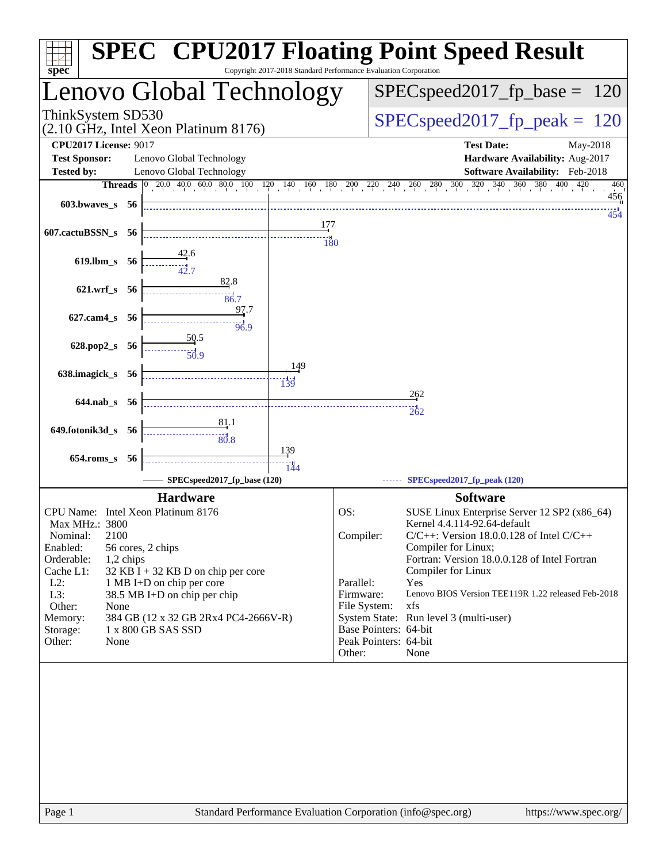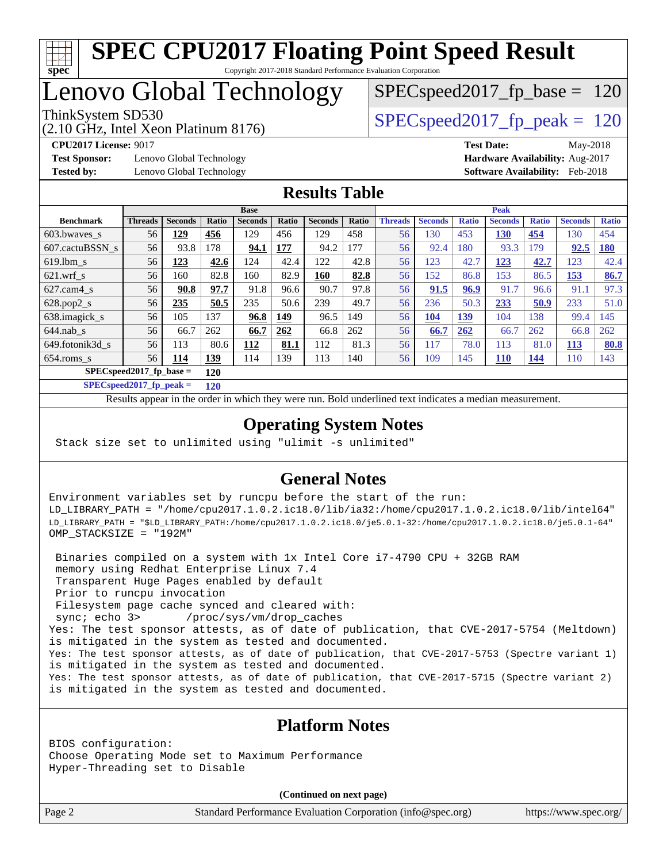

# Lenovo Global Technology

(2.10 GHz, Intel Xeon Platinum 8176)

ThinkSystem SD530  $SPEC speed2017$  fp\_peak = 120 SPECspeed2017 fp base  $= 120$ 

**[Test Sponsor:](http://www.spec.org/auto/cpu2017/Docs/result-fields.html#TestSponsor)** Lenovo Global Technology **[Hardware Availability:](http://www.spec.org/auto/cpu2017/Docs/result-fields.html#HardwareAvailability)** Aug-2017 **[Tested by:](http://www.spec.org/auto/cpu2017/Docs/result-fields.html#Testedby)** Lenovo Global Technology **[Software Availability:](http://www.spec.org/auto/cpu2017/Docs/result-fields.html#SoftwareAvailability)** Feb-2018

**[CPU2017 License:](http://www.spec.org/auto/cpu2017/Docs/result-fields.html#CPU2017License)** 9017 **[Test Date:](http://www.spec.org/auto/cpu2017/Docs/result-fields.html#TestDate)** May-2018

### **[Results Table](http://www.spec.org/auto/cpu2017/Docs/result-fields.html#ResultsTable)**

|                                  | <b>Base</b>    |                |            |                | <b>Peak</b> |                |       |                |                |              |                |              |                |              |
|----------------------------------|----------------|----------------|------------|----------------|-------------|----------------|-------|----------------|----------------|--------------|----------------|--------------|----------------|--------------|
| <b>Benchmark</b>                 | <b>Threads</b> | <b>Seconds</b> | Ratio      | <b>Seconds</b> | Ratio       | <b>Seconds</b> | Ratio | <b>Threads</b> | <b>Seconds</b> | <b>Ratio</b> | <b>Seconds</b> | <b>Ratio</b> | <b>Seconds</b> | <b>Ratio</b> |
| 603.bwayes s                     | 56             | 129            | 456        | 129            | 456         | 129            | 458   | 56             | 130            | 453          | 130            | 454          | 130            | 454          |
| 607.cactuBSSN s                  | 56             | 93.8           | 178        | 94.1           | 177         | 94.2           | 177   | 56             | 92.4           | 180          | 93.3           | 179          | 92.5           | <b>180</b>   |
| $619.1$ bm s                     | 56             | 123            | 42.6       | 124            | 42.4        | 122            | 42.8  | 56             | 123            | 42.7         | 123            | 42.7         | 123            | 42.4         |
| $621$ .wrf s                     | 56             | 160            | 82.8       | 160            | 82.9        | 160            | 82.8  | 56             | 152            | 86.8         | 153            | 86.5         | <u>153</u>     | 86.7         |
| $627$ .cam4 s                    | 56             | 90.8           | 97.7       | 91.8           | 96.6        | 90.7           | 97.8  | 56             | 91.5           | 96.9         | 91.7           | 96.6         | 91.1           | 97.3         |
| $628.pop2_s$                     | 56             | 235            | 50.5       | 235            | 50.6        | 239            | 49.7  | 56             | 236            | 50.3         | 233            | 50.9         | 233            | 51.0         |
| 638.imagick_s                    | 56             | 105            | 137        | 96.8           | 149         | 96.5           | 149   | 56             | 104            | <b>139</b>   | 104            | 138          | 99.4           | 145          |
| $644$ .nab s                     | 56             | 66.7           | 262        | 66.7           | 262         | 66.8           | 262   | 56             | 66.7           | 262          | 66.7           | 262          | 66.8           | 262          |
| 649.fotonik3d s                  | 56             | 113            | 80.6       | 112            | 81.1        | 112            | 81.3  | 56             | 117            | 78.0         | 113            | 81.0         | <u>113</u>     | 80.8         |
| $654$ .roms s                    | 56             | 114            | <u>139</u> | 114            | 139         | 113            | 140   | 56             | 109            | 145          | <b>110</b>     | <u>144</u>   | 110            | 143          |
| $SPECspeed2017$ fp base =<br>120 |                |                |            |                |             |                |       |                |                |              |                |              |                |              |

**[SPECspeed2017\\_fp\\_peak =](http://www.spec.org/auto/cpu2017/Docs/result-fields.html#SPECspeed2017fppeak) 120**

Results appear in the [order in which they were run.](http://www.spec.org/auto/cpu2017/Docs/result-fields.html#RunOrder) Bold underlined text [indicates a median measurement](http://www.spec.org/auto/cpu2017/Docs/result-fields.html#Median).

## **[Operating System Notes](http://www.spec.org/auto/cpu2017/Docs/result-fields.html#OperatingSystemNotes)**

Stack size set to unlimited using "ulimit -s unlimited"

## **[General Notes](http://www.spec.org/auto/cpu2017/Docs/result-fields.html#GeneralNotes)**

Environment variables set by runcpu before the start of the run: LD\_LIBRARY\_PATH = "/home/cpu2017.1.0.2.ic18.0/lib/ia32:/home/cpu2017.1.0.2.ic18.0/lib/intel64" LD\_LIBRARY\_PATH = "\$LD\_LIBRARY\_PATH:/home/cpu2017.1.0.2.ic18.0/je5.0.1-32:/home/cpu2017.1.0.2.ic18.0/je5.0.1-64" OMP\_STACKSIZE = "192M"

 Binaries compiled on a system with 1x Intel Core i7-4790 CPU + 32GB RAM memory using Redhat Enterprise Linux 7.4 Transparent Huge Pages enabled by default Prior to runcpu invocation Filesystem page cache synced and cleared with: sync; echo 3> /proc/sys/vm/drop\_caches Yes: The test sponsor attests, as of date of publication, that CVE-2017-5754 (Meltdown) is mitigated in the system as tested and documented. Yes: The test sponsor attests, as of date of publication, that CVE-2017-5753 (Spectre variant 1) is mitigated in the system as tested and documented. Yes: The test sponsor attests, as of date of publication, that CVE-2017-5715 (Spectre variant 2) is mitigated in the system as tested and documented.

## **[Platform Notes](http://www.spec.org/auto/cpu2017/Docs/result-fields.html#PlatformNotes)**

BIOS configuration: Choose Operating Mode set to Maximum Performance Hyper-Threading set to Disable

**(Continued on next page)**

Page 2 Standard Performance Evaluation Corporation [\(info@spec.org\)](mailto:info@spec.org) <https://www.spec.org/>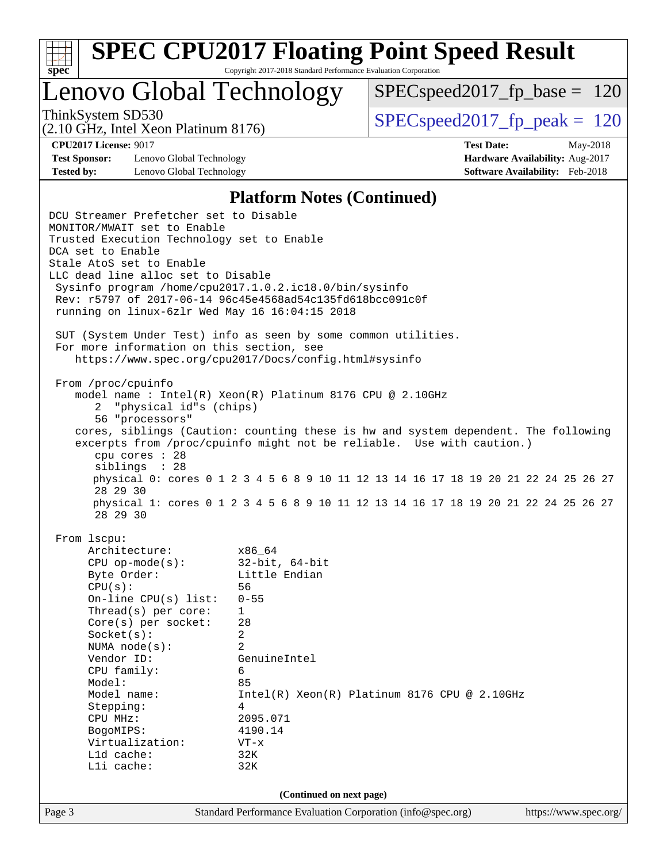

Lenovo Global Technology

 $SPEC speed2017_fp\_base = 120$ 

(2.10 GHz, Intel Xeon Platinum 8176)

ThinkSystem SD530  $SPEC speed2017$  fp\_peak = 120

**[Test Sponsor:](http://www.spec.org/auto/cpu2017/Docs/result-fields.html#TestSponsor)** Lenovo Global Technology **[Hardware Availability:](http://www.spec.org/auto/cpu2017/Docs/result-fields.html#HardwareAvailability)** Aug-2017 **[Tested by:](http://www.spec.org/auto/cpu2017/Docs/result-fields.html#Testedby)** Lenovo Global Technology **[Software Availability:](http://www.spec.org/auto/cpu2017/Docs/result-fields.html#SoftwareAvailability)** Feb-2018

**[CPU2017 License:](http://www.spec.org/auto/cpu2017/Docs/result-fields.html#CPU2017License)** 9017 **[Test Date:](http://www.spec.org/auto/cpu2017/Docs/result-fields.html#TestDate)** May-2018

#### **[Platform Notes \(Continued\)](http://www.spec.org/auto/cpu2017/Docs/result-fields.html#PlatformNotes)**

Page 3 Standard Performance Evaluation Corporation [\(info@spec.org\)](mailto:info@spec.org) <https://www.spec.org/> DCU Streamer Prefetcher set to Disable MONITOR/MWAIT set to Enable Trusted Execution Technology set to Enable DCA set to Enable Stale AtoS set to Enable LLC dead line alloc set to Disable Sysinfo program /home/cpu2017.1.0.2.ic18.0/bin/sysinfo Rev: r5797 of 2017-06-14 96c45e4568ad54c135fd618bcc091c0f running on linux-6zlr Wed May 16 16:04:15 2018 SUT (System Under Test) info as seen by some common utilities. For more information on this section, see <https://www.spec.org/cpu2017/Docs/config.html#sysinfo> From /proc/cpuinfo model name : Intel(R) Xeon(R) Platinum 8176 CPU @ 2.10GHz 2 "physical id"s (chips) 56 "processors" cores, siblings (Caution: counting these is hw and system dependent. The following excerpts from /proc/cpuinfo might not be reliable. Use with caution.) cpu cores : 28 siblings : 28 physical 0: cores 0 1 2 3 4 5 6 8 9 10 11 12 13 14 16 17 18 19 20 21 22 24 25 26 27 28 29 30 physical 1: cores 0 1 2 3 4 5 6 8 9 10 11 12 13 14 16 17 18 19 20 21 22 24 25 26 27 28 29 30 From lscpu: Architecture: x86\_64 CPU op-mode(s): 32-bit, 64-bit Byte Order: Little Endian CPU(s): 56 On-line CPU(s) list: 0-55 Thread(s) per core: 1 Core(s) per socket: 28 Socket(s): 2 NUMA node(s): 2 Vendor ID: GenuineIntel CPU family: 6 Model: 85 Model name: Intel(R) Xeon(R) Platinum 8176 CPU @ 2.10GHz Stepping: 4 CPU MHz: 2095.071 BogoMIPS: 4190.14 Virtualization: VT-x L1d cache: 32K L1i cache: 32K **(Continued on next page)**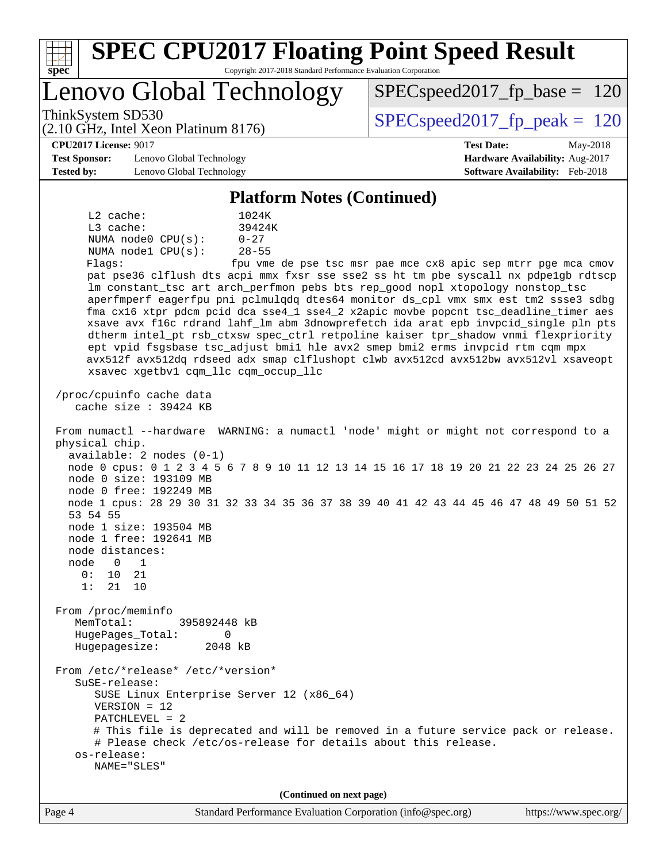| $spec^*$                                                                                                                                                                                                                                                                                                                                                                                                                                                                                                                                             | <b>SPEC CPU2017 Floating Point Speed Result</b><br>Copyright 2017-2018 Standard Performance Evaluation Corporation                                                                                                                                                                                                                                                                                                                                                                                                                                                                                                                                                                                                                                                       |
|------------------------------------------------------------------------------------------------------------------------------------------------------------------------------------------------------------------------------------------------------------------------------------------------------------------------------------------------------------------------------------------------------------------------------------------------------------------------------------------------------------------------------------------------------|--------------------------------------------------------------------------------------------------------------------------------------------------------------------------------------------------------------------------------------------------------------------------------------------------------------------------------------------------------------------------------------------------------------------------------------------------------------------------------------------------------------------------------------------------------------------------------------------------------------------------------------------------------------------------------------------------------------------------------------------------------------------------|
| Lenovo Global Technology                                                                                                                                                                                                                                                                                                                                                                                                                                                                                                                             | $SPEC speed2017_f p\_base = 120$                                                                                                                                                                                                                                                                                                                                                                                                                                                                                                                                                                                                                                                                                                                                         |
| ThinkSystem SD530<br>(2.10 GHz, Intel Xeon Platinum 8176)                                                                                                                                                                                                                                                                                                                                                                                                                                                                                            | $SPEC speed2017_fp_peak = 120$                                                                                                                                                                                                                                                                                                                                                                                                                                                                                                                                                                                                                                                                                                                                           |
| <b>CPU2017 License: 9017</b><br><b>Test Sponsor:</b><br>Lenovo Global Technology<br><b>Tested by:</b><br>Lenovo Global Technology                                                                                                                                                                                                                                                                                                                                                                                                                    | <b>Test Date:</b><br>May-2018<br>Hardware Availability: Aug-2017<br>Software Availability: Feb-2018                                                                                                                                                                                                                                                                                                                                                                                                                                                                                                                                                                                                                                                                      |
|                                                                                                                                                                                                                                                                                                                                                                                                                                                                                                                                                      | <b>Platform Notes (Continued)</b>                                                                                                                                                                                                                                                                                                                                                                                                                                                                                                                                                                                                                                                                                                                                        |
| L2 cache:<br>1024K<br>L3 cache:<br>39424K<br>$0 - 27$<br>NUMA node0 CPU(s):<br>NUMA nodel CPU(s):<br>$28 - 55$<br>Flagg:<br>xsavec xgetbv1 cqm_llc cqm_occup_llc                                                                                                                                                                                                                                                                                                                                                                                     | fpu vme de pse tsc msr pae mce cx8 apic sep mtrr pge mca cmov<br>pat pse36 clflush dts acpi mmx fxsr sse sse2 ss ht tm pbe syscall nx pdpelgb rdtscp<br>lm constant_tsc art arch_perfmon pebs bts rep_good nopl xtopology nonstop_tsc<br>aperfmperf eagerfpu pni pclmulqdq dtes64 monitor ds_cpl vmx smx est tm2 ssse3 sdbg<br>fma cx16 xtpr pdcm pcid dca sse4_1 sse4_2 x2apic movbe popcnt tsc_deadline_timer aes<br>xsave avx f16c rdrand lahf_lm abm 3dnowprefetch ida arat epb invpcid_single pln pts<br>dtherm intel_pt rsb_ctxsw spec_ctrl retpoline kaiser tpr_shadow vnmi flexpriority<br>ept vpid fsgsbase tsc_adjust bmil hle avx2 smep bmi2 erms invpcid rtm cqm mpx<br>avx512f avx512dq rdseed adx smap clflushopt clwb avx512cd avx512bw avx512vl xsaveopt |
| cache size : 39424 KB<br>physical chip.<br>$available: 2 nodes (0-1)$<br>node 0 size: 193109 MB<br>node 0 free: 192249 MB<br>53 54 55<br>node 1 size: 193504 MB<br>node 1 free: 192641 MB<br>node distances:<br>node<br>$\overline{0}$<br>$\overline{1}$<br>0:<br>10<br>21<br>1:<br>21<br>10<br>From /proc/meminfo<br>MemTotal:<br>395892448 kB<br>HugePages_Total:<br>$\Omega$<br>2048 kB<br>Hugepagesize:<br>From /etc/*release* /etc/*version*<br>SuSE-release:<br>SUSE Linux Enterprise Server 12 (x86_64)<br>$VERSION = 12$<br>$PATCHLEVEL = 2$ | From numactl --hardware WARNING: a numactl 'node' might or might not correspond to a<br>node 0 cpus: 0 1 2 3 4 5 6 7 8 9 10 11 12 13 14 15 16 17 18 19 20 21 22 23 24 25 26 27<br>node 1 cpus: 28 29 30 31 32 33 34 35 36 37 38 39 40 41 42 43 44 45 46 47 48 49 50 51 52<br># This file is deprecated and will be removed in a future service pack or release.                                                                                                                                                                                                                                                                                                                                                                                                          |
| # Please check /etc/os-release for details about this release.<br>os-release:<br>NAME="SLES"                                                                                                                                                                                                                                                                                                                                                                                                                                                         |                                                                                                                                                                                                                                                                                                                                                                                                                                                                                                                                                                                                                                                                                                                                                                          |
|                                                                                                                                                                                                                                                                                                                                                                                                                                                                                                                                                      | (Continued on next page)                                                                                                                                                                                                                                                                                                                                                                                                                                                                                                                                                                                                                                                                                                                                                 |
| Page 4                                                                                                                                                                                                                                                                                                                                                                                                                                                                                                                                               | Standard Performance Evaluation Corporation (info@spec.org)<br>https://www.spec.org/                                                                                                                                                                                                                                                                                                                                                                                                                                                                                                                                                                                                                                                                                     |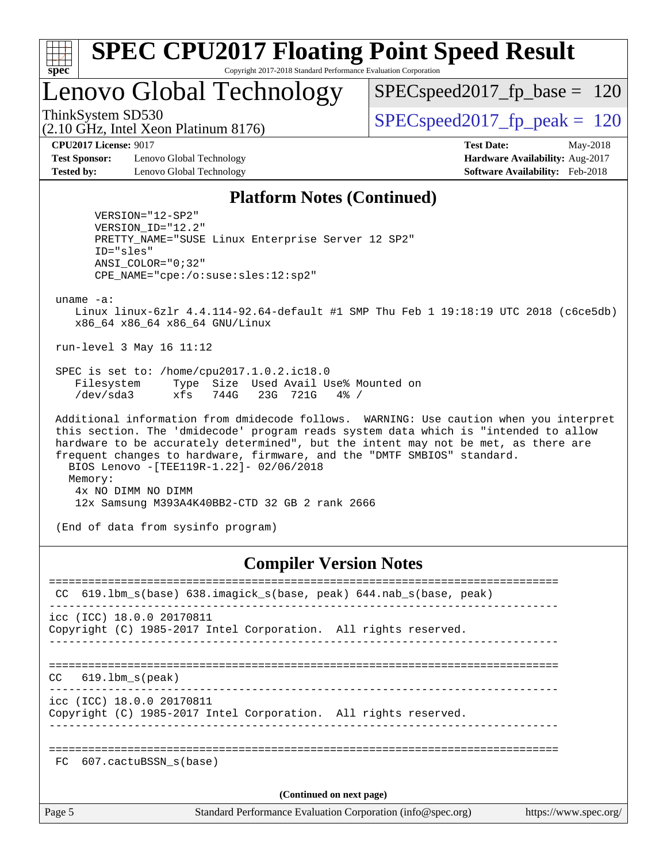

Lenovo Global Technology

 $SPEC speed2017_fp\_base = 120$ 

(2.10 GHz, Intel Xeon Platinum 8176)

ThinkSystem SD530  $SPEC speed2017$  fp\_peak = 120

**[Test Sponsor:](http://www.spec.org/auto/cpu2017/Docs/result-fields.html#TestSponsor)** Lenovo Global Technology **[Hardware Availability:](http://www.spec.org/auto/cpu2017/Docs/result-fields.html#HardwareAvailability)** Aug-2017 **[Tested by:](http://www.spec.org/auto/cpu2017/Docs/result-fields.html#Testedby)** Lenovo Global Technology **[Software Availability:](http://www.spec.org/auto/cpu2017/Docs/result-fields.html#SoftwareAvailability)** Feb-2018

**[CPU2017 License:](http://www.spec.org/auto/cpu2017/Docs/result-fields.html#CPU2017License)** 9017 **[Test Date:](http://www.spec.org/auto/cpu2017/Docs/result-fields.html#TestDate)** May-2018

#### **[Platform Notes \(Continued\)](http://www.spec.org/auto/cpu2017/Docs/result-fields.html#PlatformNotes)**

 VERSION="12-SP2" VERSION\_ID="12.2" PRETTY\_NAME="SUSE Linux Enterprise Server 12 SP2" ID="sles" ANSI\_COLOR="0;32" CPE\_NAME="cpe:/o:suse:sles:12:sp2"

uname -a:

 Linux linux-6zlr 4.4.114-92.64-default #1 SMP Thu Feb 1 19:18:19 UTC 2018 (c6ce5db) x86\_64 x86\_64 x86\_64 GNU/Linux

run-level 3 May 16 11:12

 SPEC is set to: /home/cpu2017.1.0.2.ic18.0 Filesystem Type Size Used Avail Use% Mounted on /dev/sda3 xfs 744G 23G 721G 4% /

 Additional information from dmidecode follows. WARNING: Use caution when you interpret this section. The 'dmidecode' program reads system data which is "intended to allow hardware to be accurately determined", but the intent may not be met, as there are frequent changes to hardware, firmware, and the "DMTF SMBIOS" standard. BIOS Lenovo -[TEE119R-1.22]- 02/06/2018 Memory: 4x NO DIMM NO DIMM 12x Samsung M393A4K40BB2-CTD 32 GB 2 rank 2666

(End of data from sysinfo program)

#### **[Compiler Version Notes](http://www.spec.org/auto/cpu2017/Docs/result-fields.html#CompilerVersionNotes)**

| CC.                      | 619.1bm s(base) 638.imagick s(base, peak) 644.nab s(base, peak)                      |  |  |  |  |  |
|--------------------------|--------------------------------------------------------------------------------------|--|--|--|--|--|
|                          | icc (ICC) 18.0.0 20170811                                                            |  |  |  |  |  |
|                          | Copyright (C) 1985-2017 Intel Corporation. All rights reserved.                      |  |  |  |  |  |
|                          |                                                                                      |  |  |  |  |  |
|                          |                                                                                      |  |  |  |  |  |
| CC                       | 619.lbm s(peak)                                                                      |  |  |  |  |  |
|                          | icc (ICC) 18.0.0 20170811                                                            |  |  |  |  |  |
|                          | Copyright (C) 1985-2017 Intel Corporation. All rights reserved.                      |  |  |  |  |  |
|                          |                                                                                      |  |  |  |  |  |
|                          |                                                                                      |  |  |  |  |  |
| FC                       | 607.cactuBSSN s(base)                                                                |  |  |  |  |  |
|                          |                                                                                      |  |  |  |  |  |
| (Continued on next page) |                                                                                      |  |  |  |  |  |
| Page 5                   | Standard Performance Evaluation Corporation (info@spec.org)<br>https://www.spec.org/ |  |  |  |  |  |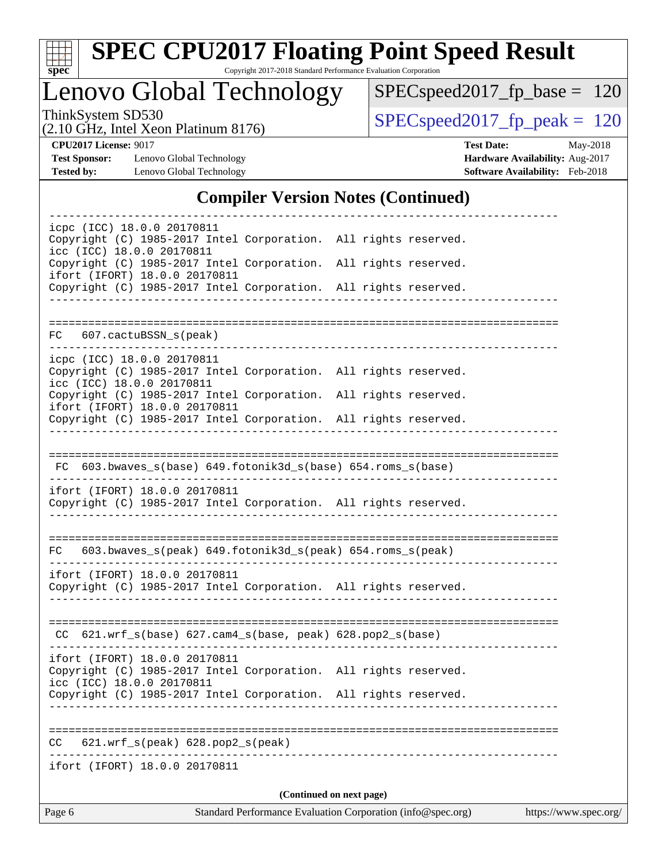

# **[SPEC CPU2017 Floating Point Speed Result](http://www.spec.org/auto/cpu2017/Docs/result-fields.html#SPECCPU2017FloatingPointSpeedResult)**

Copyright 2017-2018 Standard Performance Evaluation Corporation

Lenovo Global Technology

[SPECspeed2017\\_fp\\_base =](http://www.spec.org/auto/cpu2017/Docs/result-fields.html#SPECspeed2017fpbase) 120

(2.10 GHz, Intel Xeon Platinum 8176)

ThinkSystem SD530<br>  $(2.10 \text{ GHz})$  Intel Xeon Platinum 8176) [SPECspeed2017\\_fp\\_peak =](http://www.spec.org/auto/cpu2017/Docs/result-fields.html#SPECspeed2017fppeak) 120

**[Test Sponsor:](http://www.spec.org/auto/cpu2017/Docs/result-fields.html#TestSponsor)** Lenovo Global Technology **[Hardware Availability:](http://www.spec.org/auto/cpu2017/Docs/result-fields.html#HardwareAvailability)** Aug-2017 **[Tested by:](http://www.spec.org/auto/cpu2017/Docs/result-fields.html#Testedby)** Lenovo Global Technology **[Software Availability:](http://www.spec.org/auto/cpu2017/Docs/result-fields.html#SoftwareAvailability)** Feb-2018

**[CPU2017 License:](http://www.spec.org/auto/cpu2017/Docs/result-fields.html#CPU2017License)** 9017 **[Test Date:](http://www.spec.org/auto/cpu2017/Docs/result-fields.html#TestDate)** May-2018

## **[Compiler Version Notes \(Continued\)](http://www.spec.org/auto/cpu2017/Docs/result-fields.html#CompilerVersionNotes)**

| Page 6                                                     |                                                                                                                                    | Standard Performance Evaluation Corporation (info@spec.org) | https://www.spec.org/ |
|------------------------------------------------------------|------------------------------------------------------------------------------------------------------------------------------------|-------------------------------------------------------------|-----------------------|
|                                                            |                                                                                                                                    | (Continued on next page)                                    |                       |
| ifort (IFORT) 18.0.0 20170811                              |                                                                                                                                    | ------------------------------------                        |                       |
| CC                                                         | 621.wrf_s(peak) 628.pop2_s(peak)                                                                                                   |                                                             |                       |
|                                                            | Copyright (C) 1985-2017 Intel Corporation. All rights reserved.                                                                    |                                                             |                       |
| ifort (IFORT) 18.0.0 20170811<br>icc (ICC) 18.0.0 20170811 | Copyright (C) 1985-2017 Intel Corporation. All rights reserved.                                                                    |                                                             |                       |
|                                                            | $CC$ 621.wrf_s(base) 627.cam4_s(base, peak) 628.pop2_s(base)                                                                       |                                                             |                       |
| ifort (IFORT) 18.0.0 20170811                              | Copyright (C) 1985-2017 Intel Corporation. All rights reserved.                                                                    |                                                             |                       |
| FC                                                         | 603.bwaves_s(peak) 649.fotonik3d_s(peak) 654.roms_s(peak)                                                                          |                                                             |                       |
| ifort (IFORT) 18.0.0 20170811                              | Copyright (C) 1985-2017 Intel Corporation. All rights reserved.                                                                    |                                                             |                       |
|                                                            | FC 603.bwaves_s(base) 649.fotonik3d_s(base) 654.roms_s(base)                                                                       |                                                             |                       |
|                                                            |                                                                                                                                    |                                                             |                       |
| ifort (IFORT) 18.0.0 20170811                              | Copyright (C) 1985-2017 Intel Corporation. All rights reserved.                                                                    |                                                             |                       |
| icpc (ICC) 18.0.0 20170811<br>icc (ICC) 18.0.0 20170811    | Copyright (C) 1985-2017 Intel Corporation. All rights reserved.<br>Copyright (C) 1985-2017 Intel Corporation. All rights reserved. |                                                             |                       |
| FC 607.cactuBSSN_s(peak)                                   |                                                                                                                                    |                                                             |                       |
|                                                            | Copyright (C) 1985-2017 Intel Corporation. All rights reserved.                                                                    |                                                             |                       |
| ifort (IFORT) 18.0.0 20170811                              | Copyright (C) 1985-2017 Intel Corporation. All rights reserved.                                                                    |                                                             |                       |
| icpc (ICC) 18.0.0 20170811<br>icc (ICC) 18.0.0 20170811    | Copyright (C) 1985-2017 Intel Corporation. All rights reserved.                                                                    |                                                             |                       |
|                                                            |                                                                                                                                    |                                                             |                       |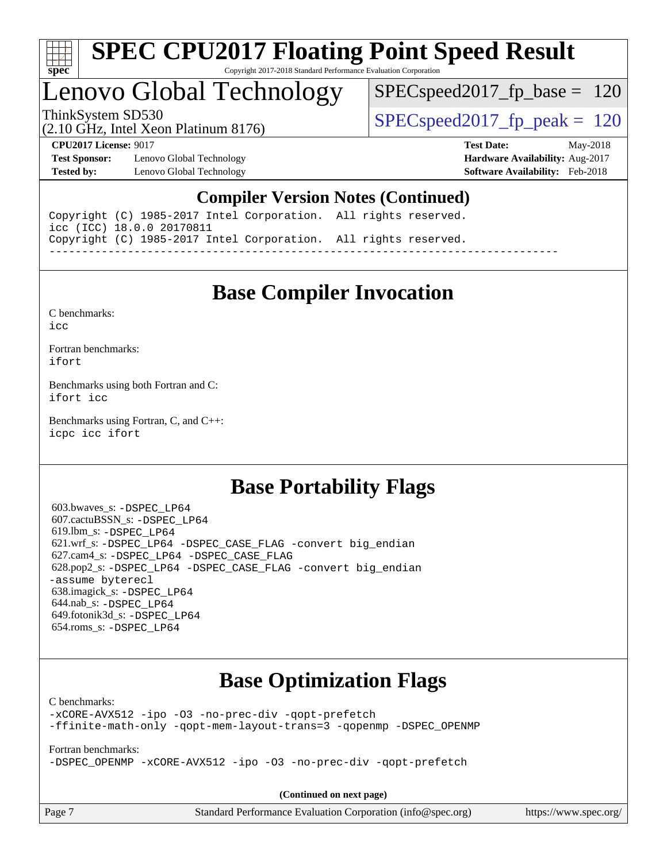

## Lenovo Global Technology

SPECspeed2017 fp base  $= 120$ 

(2.10 GHz, Intel Xeon Platinum 8176)

ThinkSystem SD530  $SPEC speed2017$  fp\_peak = 120

**[Test Sponsor:](http://www.spec.org/auto/cpu2017/Docs/result-fields.html#TestSponsor)** Lenovo Global Technology **[Hardware Availability:](http://www.spec.org/auto/cpu2017/Docs/result-fields.html#HardwareAvailability)** Aug-2017 **[Tested by:](http://www.spec.org/auto/cpu2017/Docs/result-fields.html#Testedby)** Lenovo Global Technology **[Software Availability:](http://www.spec.org/auto/cpu2017/Docs/result-fields.html#SoftwareAvailability)** Feb-2018

**[CPU2017 License:](http://www.spec.org/auto/cpu2017/Docs/result-fields.html#CPU2017License)** 9017 **[Test Date:](http://www.spec.org/auto/cpu2017/Docs/result-fields.html#TestDate)** May-2018

## **[Compiler Version Notes \(Continued\)](http://www.spec.org/auto/cpu2017/Docs/result-fields.html#CompilerVersionNotes)**

Copyright (C) 1985-2017 Intel Corporation. All rights reserved. icc (ICC) 18.0.0 20170811 Copyright (C) 1985-2017 Intel Corporation. All rights reserved. ------------------------------------------------------------------------------

## **[Base Compiler Invocation](http://www.spec.org/auto/cpu2017/Docs/result-fields.html#BaseCompilerInvocation)**

[C benchmarks](http://www.spec.org/auto/cpu2017/Docs/result-fields.html#Cbenchmarks):

[icc](http://www.spec.org/cpu2017/results/res2018q2/cpu2017-20180529-06569.flags.html#user_CCbase_intel_icc_18.0_66fc1ee009f7361af1fbd72ca7dcefbb700085f36577c54f309893dd4ec40d12360134090235512931783d35fd58c0460139e722d5067c5574d8eaf2b3e37e92)

[Fortran benchmarks](http://www.spec.org/auto/cpu2017/Docs/result-fields.html#Fortranbenchmarks): [ifort](http://www.spec.org/cpu2017/results/res2018q2/cpu2017-20180529-06569.flags.html#user_FCbase_intel_ifort_18.0_8111460550e3ca792625aed983ce982f94888b8b503583aa7ba2b8303487b4d8a21a13e7191a45c5fd58ff318f48f9492884d4413fa793fd88dd292cad7027ca)

[Benchmarks using both Fortran and C](http://www.spec.org/auto/cpu2017/Docs/result-fields.html#BenchmarksusingbothFortranandC): [ifort](http://www.spec.org/cpu2017/results/res2018q2/cpu2017-20180529-06569.flags.html#user_CC_FCbase_intel_ifort_18.0_8111460550e3ca792625aed983ce982f94888b8b503583aa7ba2b8303487b4d8a21a13e7191a45c5fd58ff318f48f9492884d4413fa793fd88dd292cad7027ca) [icc](http://www.spec.org/cpu2017/results/res2018q2/cpu2017-20180529-06569.flags.html#user_CC_FCbase_intel_icc_18.0_66fc1ee009f7361af1fbd72ca7dcefbb700085f36577c54f309893dd4ec40d12360134090235512931783d35fd58c0460139e722d5067c5574d8eaf2b3e37e92)

[Benchmarks using Fortran, C, and C++:](http://www.spec.org/auto/cpu2017/Docs/result-fields.html#BenchmarksusingFortranCandCXX) [icpc](http://www.spec.org/cpu2017/results/res2018q2/cpu2017-20180529-06569.flags.html#user_CC_CXX_FCbase_intel_icpc_18.0_c510b6838c7f56d33e37e94d029a35b4a7bccf4766a728ee175e80a419847e808290a9b78be685c44ab727ea267ec2f070ec5dc83b407c0218cded6866a35d07) [icc](http://www.spec.org/cpu2017/results/res2018q2/cpu2017-20180529-06569.flags.html#user_CC_CXX_FCbase_intel_icc_18.0_66fc1ee009f7361af1fbd72ca7dcefbb700085f36577c54f309893dd4ec40d12360134090235512931783d35fd58c0460139e722d5067c5574d8eaf2b3e37e92) [ifort](http://www.spec.org/cpu2017/results/res2018q2/cpu2017-20180529-06569.flags.html#user_CC_CXX_FCbase_intel_ifort_18.0_8111460550e3ca792625aed983ce982f94888b8b503583aa7ba2b8303487b4d8a21a13e7191a45c5fd58ff318f48f9492884d4413fa793fd88dd292cad7027ca)

## **[Base Portability Flags](http://www.spec.org/auto/cpu2017/Docs/result-fields.html#BasePortabilityFlags)**

 603.bwaves\_s: [-DSPEC\\_LP64](http://www.spec.org/cpu2017/results/res2018q2/cpu2017-20180529-06569.flags.html#suite_basePORTABILITY603_bwaves_s_DSPEC_LP64) 607.cactuBSSN\_s: [-DSPEC\\_LP64](http://www.spec.org/cpu2017/results/res2018q2/cpu2017-20180529-06569.flags.html#suite_basePORTABILITY607_cactuBSSN_s_DSPEC_LP64) 619.lbm\_s: [-DSPEC\\_LP64](http://www.spec.org/cpu2017/results/res2018q2/cpu2017-20180529-06569.flags.html#suite_basePORTABILITY619_lbm_s_DSPEC_LP64) 621.wrf\_s: [-DSPEC\\_LP64](http://www.spec.org/cpu2017/results/res2018q2/cpu2017-20180529-06569.flags.html#suite_basePORTABILITY621_wrf_s_DSPEC_LP64) [-DSPEC\\_CASE\\_FLAG](http://www.spec.org/cpu2017/results/res2018q2/cpu2017-20180529-06569.flags.html#b621.wrf_s_baseCPORTABILITY_DSPEC_CASE_FLAG) [-convert big\\_endian](http://www.spec.org/cpu2017/results/res2018q2/cpu2017-20180529-06569.flags.html#user_baseFPORTABILITY621_wrf_s_convert_big_endian_c3194028bc08c63ac5d04de18c48ce6d347e4e562e8892b8bdbdc0214820426deb8554edfa529a3fb25a586e65a3d812c835984020483e7e73212c4d31a38223) 627.cam4\_s: [-DSPEC\\_LP64](http://www.spec.org/cpu2017/results/res2018q2/cpu2017-20180529-06569.flags.html#suite_basePORTABILITY627_cam4_s_DSPEC_LP64) [-DSPEC\\_CASE\\_FLAG](http://www.spec.org/cpu2017/results/res2018q2/cpu2017-20180529-06569.flags.html#b627.cam4_s_baseCPORTABILITY_DSPEC_CASE_FLAG) 628.pop2\_s: [-DSPEC\\_LP64](http://www.spec.org/cpu2017/results/res2018q2/cpu2017-20180529-06569.flags.html#suite_basePORTABILITY628_pop2_s_DSPEC_LP64) [-DSPEC\\_CASE\\_FLAG](http://www.spec.org/cpu2017/results/res2018q2/cpu2017-20180529-06569.flags.html#b628.pop2_s_baseCPORTABILITY_DSPEC_CASE_FLAG) [-convert big\\_endian](http://www.spec.org/cpu2017/results/res2018q2/cpu2017-20180529-06569.flags.html#user_baseFPORTABILITY628_pop2_s_convert_big_endian_c3194028bc08c63ac5d04de18c48ce6d347e4e562e8892b8bdbdc0214820426deb8554edfa529a3fb25a586e65a3d812c835984020483e7e73212c4d31a38223) [-assume byterecl](http://www.spec.org/cpu2017/results/res2018q2/cpu2017-20180529-06569.flags.html#user_baseFPORTABILITY628_pop2_s_assume_byterecl_7e47d18b9513cf18525430bbf0f2177aa9bf368bc7a059c09b2c06a34b53bd3447c950d3f8d6c70e3faf3a05c8557d66a5798b567902e8849adc142926523472) 638.imagick\_s: [-DSPEC\\_LP64](http://www.spec.org/cpu2017/results/res2018q2/cpu2017-20180529-06569.flags.html#suite_basePORTABILITY638_imagick_s_DSPEC_LP64) 644.nab\_s: [-DSPEC\\_LP64](http://www.spec.org/cpu2017/results/res2018q2/cpu2017-20180529-06569.flags.html#suite_basePORTABILITY644_nab_s_DSPEC_LP64) 649.fotonik3d\_s: [-DSPEC\\_LP64](http://www.spec.org/cpu2017/results/res2018q2/cpu2017-20180529-06569.flags.html#suite_basePORTABILITY649_fotonik3d_s_DSPEC_LP64) 654.roms\_s: [-DSPEC\\_LP64](http://www.spec.org/cpu2017/results/res2018q2/cpu2017-20180529-06569.flags.html#suite_basePORTABILITY654_roms_s_DSPEC_LP64)

## **[Base Optimization Flags](http://www.spec.org/auto/cpu2017/Docs/result-fields.html#BaseOptimizationFlags)**

[C benchmarks](http://www.spec.org/auto/cpu2017/Docs/result-fields.html#Cbenchmarks):

[-xCORE-AVX512](http://www.spec.org/cpu2017/results/res2018q2/cpu2017-20180529-06569.flags.html#user_CCbase_f-xCORE-AVX512) [-ipo](http://www.spec.org/cpu2017/results/res2018q2/cpu2017-20180529-06569.flags.html#user_CCbase_f-ipo) [-O3](http://www.spec.org/cpu2017/results/res2018q2/cpu2017-20180529-06569.flags.html#user_CCbase_f-O3) [-no-prec-div](http://www.spec.org/cpu2017/results/res2018q2/cpu2017-20180529-06569.flags.html#user_CCbase_f-no-prec-div) [-qopt-prefetch](http://www.spec.org/cpu2017/results/res2018q2/cpu2017-20180529-06569.flags.html#user_CCbase_f-qopt-prefetch) [-ffinite-math-only](http://www.spec.org/cpu2017/results/res2018q2/cpu2017-20180529-06569.flags.html#user_CCbase_f_finite_math_only_cb91587bd2077682c4b38af759c288ed7c732db004271a9512da14a4f8007909a5f1427ecbf1a0fb78ff2a814402c6114ac565ca162485bbcae155b5e4258871) [-qopt-mem-layout-trans=3](http://www.spec.org/cpu2017/results/res2018q2/cpu2017-20180529-06569.flags.html#user_CCbase_f-qopt-mem-layout-trans_de80db37974c74b1f0e20d883f0b675c88c3b01e9d123adea9b28688d64333345fb62bc4a798493513fdb68f60282f9a726aa07f478b2f7113531aecce732043) [-qopenmp](http://www.spec.org/cpu2017/results/res2018q2/cpu2017-20180529-06569.flags.html#user_CCbase_qopenmp_16be0c44f24f464004c6784a7acb94aca937f053568ce72f94b139a11c7c168634a55f6653758ddd83bcf7b8463e8028bb0b48b77bcddc6b78d5d95bb1df2967) [-DSPEC\\_OPENMP](http://www.spec.org/cpu2017/results/res2018q2/cpu2017-20180529-06569.flags.html#suite_CCbase_DSPEC_OPENMP)

[Fortran benchmarks](http://www.spec.org/auto/cpu2017/Docs/result-fields.html#Fortranbenchmarks):

[-DSPEC\\_OPENMP](http://www.spec.org/cpu2017/results/res2018q2/cpu2017-20180529-06569.flags.html#suite_FCbase_DSPEC_OPENMP) [-xCORE-AVX512](http://www.spec.org/cpu2017/results/res2018q2/cpu2017-20180529-06569.flags.html#user_FCbase_f-xCORE-AVX512) [-ipo](http://www.spec.org/cpu2017/results/res2018q2/cpu2017-20180529-06569.flags.html#user_FCbase_f-ipo) [-O3](http://www.spec.org/cpu2017/results/res2018q2/cpu2017-20180529-06569.flags.html#user_FCbase_f-O3) [-no-prec-div](http://www.spec.org/cpu2017/results/res2018q2/cpu2017-20180529-06569.flags.html#user_FCbase_f-no-prec-div) [-qopt-prefetch](http://www.spec.org/cpu2017/results/res2018q2/cpu2017-20180529-06569.flags.html#user_FCbase_f-qopt-prefetch)

**(Continued on next page)**

| ge |  |
|----|--|
|----|--|

Page 7 Standard Performance Evaluation Corporation [\(info@spec.org\)](mailto:info@spec.org) <https://www.spec.org/>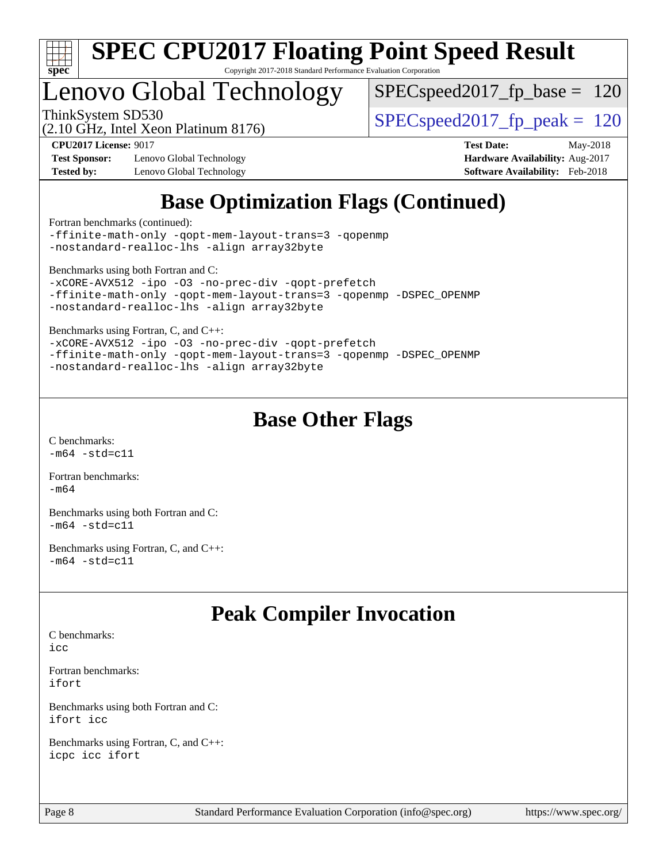

# Lenovo Global Technology

 $SPEC speed2017_fp\_base = 120$ 

(2.10 GHz, Intel Xeon Platinum 8176)

ThinkSystem SD530  $SPEC speed2017$  fp\_peak = 120

**[Test Sponsor:](http://www.spec.org/auto/cpu2017/Docs/result-fields.html#TestSponsor)** Lenovo Global Technology **[Hardware Availability:](http://www.spec.org/auto/cpu2017/Docs/result-fields.html#HardwareAvailability)** Aug-2017 **[Tested by:](http://www.spec.org/auto/cpu2017/Docs/result-fields.html#Testedby)** Lenovo Global Technology **[Software Availability:](http://www.spec.org/auto/cpu2017/Docs/result-fields.html#SoftwareAvailability)** Feb-2018

**[CPU2017 License:](http://www.spec.org/auto/cpu2017/Docs/result-fields.html#CPU2017License)** 9017 **[Test Date:](http://www.spec.org/auto/cpu2017/Docs/result-fields.html#TestDate)** May-2018

## **[Base Optimization Flags \(Continued\)](http://www.spec.org/auto/cpu2017/Docs/result-fields.html#BaseOptimizationFlags)**

[Fortran benchmarks](http://www.spec.org/auto/cpu2017/Docs/result-fields.html#Fortranbenchmarks) (continued):

[-ffinite-math-only](http://www.spec.org/cpu2017/results/res2018q2/cpu2017-20180529-06569.flags.html#user_FCbase_f_finite_math_only_cb91587bd2077682c4b38af759c288ed7c732db004271a9512da14a4f8007909a5f1427ecbf1a0fb78ff2a814402c6114ac565ca162485bbcae155b5e4258871) [-qopt-mem-layout-trans=3](http://www.spec.org/cpu2017/results/res2018q2/cpu2017-20180529-06569.flags.html#user_FCbase_f-qopt-mem-layout-trans_de80db37974c74b1f0e20d883f0b675c88c3b01e9d123adea9b28688d64333345fb62bc4a798493513fdb68f60282f9a726aa07f478b2f7113531aecce732043) [-qopenmp](http://www.spec.org/cpu2017/results/res2018q2/cpu2017-20180529-06569.flags.html#user_FCbase_qopenmp_16be0c44f24f464004c6784a7acb94aca937f053568ce72f94b139a11c7c168634a55f6653758ddd83bcf7b8463e8028bb0b48b77bcddc6b78d5d95bb1df2967) [-nostandard-realloc-lhs](http://www.spec.org/cpu2017/results/res2018q2/cpu2017-20180529-06569.flags.html#user_FCbase_f_2003_std_realloc_82b4557e90729c0f113870c07e44d33d6f5a304b4f63d4c15d2d0f1fab99f5daaed73bdb9275d9ae411527f28b936061aa8b9c8f2d63842963b95c9dd6426b8a) [-align array32byte](http://www.spec.org/cpu2017/results/res2018q2/cpu2017-20180529-06569.flags.html#user_FCbase_align_array32byte_b982fe038af199962ba9a80c053b8342c548c85b40b8e86eb3cc33dee0d7986a4af373ac2d51c3f7cf710a18d62fdce2948f201cd044323541f22fc0fffc51b6)

[Benchmarks using both Fortran and C](http://www.spec.org/auto/cpu2017/Docs/result-fields.html#BenchmarksusingbothFortranandC):

```
-xCORE-AVX512 -ipo -O3 -no-prec-div -qopt-prefetch
-ffinite-math-only -qopt-mem-layout-trans=3 -qopenmp -DSPEC_OPENMP
-nostandard-realloc-lhs -align array32byte
```
[Benchmarks using Fortran, C, and C++:](http://www.spec.org/auto/cpu2017/Docs/result-fields.html#BenchmarksusingFortranCandCXX)

[-xCORE-AVX512](http://www.spec.org/cpu2017/results/res2018q2/cpu2017-20180529-06569.flags.html#user_CC_CXX_FCbase_f-xCORE-AVX512) [-ipo](http://www.spec.org/cpu2017/results/res2018q2/cpu2017-20180529-06569.flags.html#user_CC_CXX_FCbase_f-ipo) [-O3](http://www.spec.org/cpu2017/results/res2018q2/cpu2017-20180529-06569.flags.html#user_CC_CXX_FCbase_f-O3) [-no-prec-div](http://www.spec.org/cpu2017/results/res2018q2/cpu2017-20180529-06569.flags.html#user_CC_CXX_FCbase_f-no-prec-div) [-qopt-prefetch](http://www.spec.org/cpu2017/results/res2018q2/cpu2017-20180529-06569.flags.html#user_CC_CXX_FCbase_f-qopt-prefetch) [-ffinite-math-only](http://www.spec.org/cpu2017/results/res2018q2/cpu2017-20180529-06569.flags.html#user_CC_CXX_FCbase_f_finite_math_only_cb91587bd2077682c4b38af759c288ed7c732db004271a9512da14a4f8007909a5f1427ecbf1a0fb78ff2a814402c6114ac565ca162485bbcae155b5e4258871) [-qopt-mem-layout-trans=3](http://www.spec.org/cpu2017/results/res2018q2/cpu2017-20180529-06569.flags.html#user_CC_CXX_FCbase_f-qopt-mem-layout-trans_de80db37974c74b1f0e20d883f0b675c88c3b01e9d123adea9b28688d64333345fb62bc4a798493513fdb68f60282f9a726aa07f478b2f7113531aecce732043) [-qopenmp](http://www.spec.org/cpu2017/results/res2018q2/cpu2017-20180529-06569.flags.html#user_CC_CXX_FCbase_qopenmp_16be0c44f24f464004c6784a7acb94aca937f053568ce72f94b139a11c7c168634a55f6653758ddd83bcf7b8463e8028bb0b48b77bcddc6b78d5d95bb1df2967) [-DSPEC\\_OPENMP](http://www.spec.org/cpu2017/results/res2018q2/cpu2017-20180529-06569.flags.html#suite_CC_CXX_FCbase_DSPEC_OPENMP) [-nostandard-realloc-lhs](http://www.spec.org/cpu2017/results/res2018q2/cpu2017-20180529-06569.flags.html#user_CC_CXX_FCbase_f_2003_std_realloc_82b4557e90729c0f113870c07e44d33d6f5a304b4f63d4c15d2d0f1fab99f5daaed73bdb9275d9ae411527f28b936061aa8b9c8f2d63842963b95c9dd6426b8a) [-align array32byte](http://www.spec.org/cpu2017/results/res2018q2/cpu2017-20180529-06569.flags.html#user_CC_CXX_FCbase_align_array32byte_b982fe038af199962ba9a80c053b8342c548c85b40b8e86eb3cc33dee0d7986a4af373ac2d51c3f7cf710a18d62fdce2948f201cd044323541f22fc0fffc51b6)

## **[Base Other Flags](http://www.spec.org/auto/cpu2017/Docs/result-fields.html#BaseOtherFlags)**

[C benchmarks](http://www.spec.org/auto/cpu2017/Docs/result-fields.html#Cbenchmarks):  $-m64$   $-std=cl1$ 

[Fortran benchmarks](http://www.spec.org/auto/cpu2017/Docs/result-fields.html#Fortranbenchmarks):  $-m64$ 

[Benchmarks using both Fortran and C](http://www.spec.org/auto/cpu2017/Docs/result-fields.html#BenchmarksusingbothFortranandC):  $-m64 - std= c11$  $-m64 - std= c11$ 

[Benchmarks using Fortran, C, and C++:](http://www.spec.org/auto/cpu2017/Docs/result-fields.html#BenchmarksusingFortranCandCXX)  $-m64 - std= c11$  $-m64 - std= c11$ 

## **[Peak Compiler Invocation](http://www.spec.org/auto/cpu2017/Docs/result-fields.html#PeakCompilerInvocation)**

[C benchmarks](http://www.spec.org/auto/cpu2017/Docs/result-fields.html#Cbenchmarks):

[icc](http://www.spec.org/cpu2017/results/res2018q2/cpu2017-20180529-06569.flags.html#user_CCpeak_intel_icc_18.0_66fc1ee009f7361af1fbd72ca7dcefbb700085f36577c54f309893dd4ec40d12360134090235512931783d35fd58c0460139e722d5067c5574d8eaf2b3e37e92)

[Fortran benchmarks](http://www.spec.org/auto/cpu2017/Docs/result-fields.html#Fortranbenchmarks): [ifort](http://www.spec.org/cpu2017/results/res2018q2/cpu2017-20180529-06569.flags.html#user_FCpeak_intel_ifort_18.0_8111460550e3ca792625aed983ce982f94888b8b503583aa7ba2b8303487b4d8a21a13e7191a45c5fd58ff318f48f9492884d4413fa793fd88dd292cad7027ca)

[Benchmarks using both Fortran and C](http://www.spec.org/auto/cpu2017/Docs/result-fields.html#BenchmarksusingbothFortranandC): [ifort](http://www.spec.org/cpu2017/results/res2018q2/cpu2017-20180529-06569.flags.html#user_CC_FCpeak_intel_ifort_18.0_8111460550e3ca792625aed983ce982f94888b8b503583aa7ba2b8303487b4d8a21a13e7191a45c5fd58ff318f48f9492884d4413fa793fd88dd292cad7027ca) [icc](http://www.spec.org/cpu2017/results/res2018q2/cpu2017-20180529-06569.flags.html#user_CC_FCpeak_intel_icc_18.0_66fc1ee009f7361af1fbd72ca7dcefbb700085f36577c54f309893dd4ec40d12360134090235512931783d35fd58c0460139e722d5067c5574d8eaf2b3e37e92)

[Benchmarks using Fortran, C, and C++:](http://www.spec.org/auto/cpu2017/Docs/result-fields.html#BenchmarksusingFortranCandCXX) [icpc](http://www.spec.org/cpu2017/results/res2018q2/cpu2017-20180529-06569.flags.html#user_CC_CXX_FCpeak_intel_icpc_18.0_c510b6838c7f56d33e37e94d029a35b4a7bccf4766a728ee175e80a419847e808290a9b78be685c44ab727ea267ec2f070ec5dc83b407c0218cded6866a35d07) [icc](http://www.spec.org/cpu2017/results/res2018q2/cpu2017-20180529-06569.flags.html#user_CC_CXX_FCpeak_intel_icc_18.0_66fc1ee009f7361af1fbd72ca7dcefbb700085f36577c54f309893dd4ec40d12360134090235512931783d35fd58c0460139e722d5067c5574d8eaf2b3e37e92) [ifort](http://www.spec.org/cpu2017/results/res2018q2/cpu2017-20180529-06569.flags.html#user_CC_CXX_FCpeak_intel_ifort_18.0_8111460550e3ca792625aed983ce982f94888b8b503583aa7ba2b8303487b4d8a21a13e7191a45c5fd58ff318f48f9492884d4413fa793fd88dd292cad7027ca)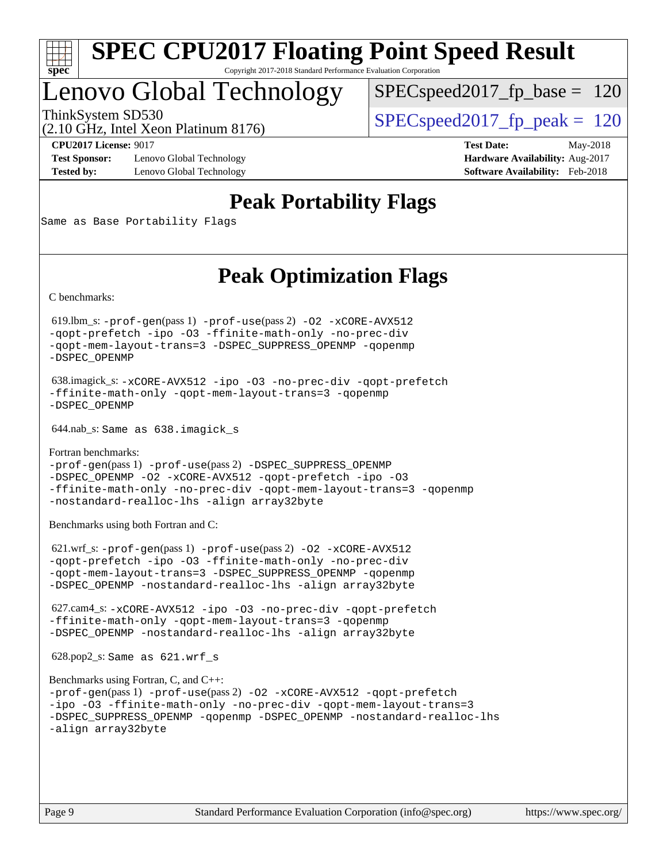

## Lenovo Global Technology

[SPECspeed2017\\_fp\\_base =](http://www.spec.org/auto/cpu2017/Docs/result-fields.html#SPECspeed2017fpbase) 120

(2.10 GHz, Intel Xeon Platinum 8176)

ThinkSystem SD530  $SPEC speed2017$  fp\_peak = 120

**[Test Sponsor:](http://www.spec.org/auto/cpu2017/Docs/result-fields.html#TestSponsor)** Lenovo Global Technology **[Hardware Availability:](http://www.spec.org/auto/cpu2017/Docs/result-fields.html#HardwareAvailability)** Aug-2017 **[Tested by:](http://www.spec.org/auto/cpu2017/Docs/result-fields.html#Testedby)** Lenovo Global Technology **[Software Availability:](http://www.spec.org/auto/cpu2017/Docs/result-fields.html#SoftwareAvailability)** Feb-2018

**[CPU2017 License:](http://www.spec.org/auto/cpu2017/Docs/result-fields.html#CPU2017License)** 9017 **[Test Date:](http://www.spec.org/auto/cpu2017/Docs/result-fields.html#TestDate)** May-2018

## **[Peak Portability Flags](http://www.spec.org/auto/cpu2017/Docs/result-fields.html#PeakPortabilityFlags)**

Same as Base Portability Flags

## **[Peak Optimization Flags](http://www.spec.org/auto/cpu2017/Docs/result-fields.html#PeakOptimizationFlags)**

[C benchmarks](http://www.spec.org/auto/cpu2017/Docs/result-fields.html#Cbenchmarks):

 619.lbm\_s: [-prof-gen](http://www.spec.org/cpu2017/results/res2018q2/cpu2017-20180529-06569.flags.html#user_peakPASS1_CFLAGSPASS1_LDFLAGS619_lbm_s_prof_gen_5aa4926d6013ddb2a31985c654b3eb18169fc0c6952a63635c234f711e6e63dd76e94ad52365559451ec499a2cdb89e4dc58ba4c67ef54ca681ffbe1461d6b36)(pass 1) [-prof-use](http://www.spec.org/cpu2017/results/res2018q2/cpu2017-20180529-06569.flags.html#user_peakPASS2_CFLAGSPASS2_LDFLAGS619_lbm_s_prof_use_1a21ceae95f36a2b53c25747139a6c16ca95bd9def2a207b4f0849963b97e94f5260e30a0c64f4bb623698870e679ca08317ef8150905d41bd88c6f78df73f19)(pass 2) [-O2](http://www.spec.org/cpu2017/results/res2018q2/cpu2017-20180529-06569.flags.html#user_peakPASS1_COPTIMIZE619_lbm_s_f-O2) [-xCORE-AVX512](http://www.spec.org/cpu2017/results/res2018q2/cpu2017-20180529-06569.flags.html#user_peakPASS2_COPTIMIZE619_lbm_s_f-xCORE-AVX512) [-qopt-prefetch](http://www.spec.org/cpu2017/results/res2018q2/cpu2017-20180529-06569.flags.html#user_peakPASS1_COPTIMIZEPASS2_COPTIMIZE619_lbm_s_f-qopt-prefetch) [-ipo](http://www.spec.org/cpu2017/results/res2018q2/cpu2017-20180529-06569.flags.html#user_peakPASS2_COPTIMIZE619_lbm_s_f-ipo) [-O3](http://www.spec.org/cpu2017/results/res2018q2/cpu2017-20180529-06569.flags.html#user_peakPASS2_COPTIMIZE619_lbm_s_f-O3) [-ffinite-math-only](http://www.spec.org/cpu2017/results/res2018q2/cpu2017-20180529-06569.flags.html#user_peakPASS1_COPTIMIZEPASS2_COPTIMIZE619_lbm_s_f_finite_math_only_cb91587bd2077682c4b38af759c288ed7c732db004271a9512da14a4f8007909a5f1427ecbf1a0fb78ff2a814402c6114ac565ca162485bbcae155b5e4258871) [-no-prec-div](http://www.spec.org/cpu2017/results/res2018q2/cpu2017-20180529-06569.flags.html#user_peakPASS2_COPTIMIZE619_lbm_s_f-no-prec-div) [-qopt-mem-layout-trans=3](http://www.spec.org/cpu2017/results/res2018q2/cpu2017-20180529-06569.flags.html#user_peakPASS1_COPTIMIZEPASS2_COPTIMIZE619_lbm_s_f-qopt-mem-layout-trans_de80db37974c74b1f0e20d883f0b675c88c3b01e9d123adea9b28688d64333345fb62bc4a798493513fdb68f60282f9a726aa07f478b2f7113531aecce732043) [-DSPEC\\_SUPPRESS\\_OPENMP](http://www.spec.org/cpu2017/results/res2018q2/cpu2017-20180529-06569.flags.html#suite_peakPASS1_COPTIMIZE619_lbm_s_DSPEC_SUPPRESS_OPENMP) [-qopenmp](http://www.spec.org/cpu2017/results/res2018q2/cpu2017-20180529-06569.flags.html#user_peakPASS2_COPTIMIZE619_lbm_s_qopenmp_16be0c44f24f464004c6784a7acb94aca937f053568ce72f94b139a11c7c168634a55f6653758ddd83bcf7b8463e8028bb0b48b77bcddc6b78d5d95bb1df2967) [-DSPEC\\_OPENMP](http://www.spec.org/cpu2017/results/res2018q2/cpu2017-20180529-06569.flags.html#suite_peakPASS2_COPTIMIZE619_lbm_s_DSPEC_OPENMP)

 638.imagick\_s: [-xCORE-AVX512](http://www.spec.org/cpu2017/results/res2018q2/cpu2017-20180529-06569.flags.html#user_peakCOPTIMIZE638_imagick_s_f-xCORE-AVX512) [-ipo](http://www.spec.org/cpu2017/results/res2018q2/cpu2017-20180529-06569.flags.html#user_peakCOPTIMIZE638_imagick_s_f-ipo) [-O3](http://www.spec.org/cpu2017/results/res2018q2/cpu2017-20180529-06569.flags.html#user_peakCOPTIMIZE638_imagick_s_f-O3) [-no-prec-div](http://www.spec.org/cpu2017/results/res2018q2/cpu2017-20180529-06569.flags.html#user_peakCOPTIMIZE638_imagick_s_f-no-prec-div) [-qopt-prefetch](http://www.spec.org/cpu2017/results/res2018q2/cpu2017-20180529-06569.flags.html#user_peakCOPTIMIZE638_imagick_s_f-qopt-prefetch) [-ffinite-math-only](http://www.spec.org/cpu2017/results/res2018q2/cpu2017-20180529-06569.flags.html#user_peakCOPTIMIZE638_imagick_s_f_finite_math_only_cb91587bd2077682c4b38af759c288ed7c732db004271a9512da14a4f8007909a5f1427ecbf1a0fb78ff2a814402c6114ac565ca162485bbcae155b5e4258871) [-qopt-mem-layout-trans=3](http://www.spec.org/cpu2017/results/res2018q2/cpu2017-20180529-06569.flags.html#user_peakCOPTIMIZE638_imagick_s_f-qopt-mem-layout-trans_de80db37974c74b1f0e20d883f0b675c88c3b01e9d123adea9b28688d64333345fb62bc4a798493513fdb68f60282f9a726aa07f478b2f7113531aecce732043) [-qopenmp](http://www.spec.org/cpu2017/results/res2018q2/cpu2017-20180529-06569.flags.html#user_peakCOPTIMIZE638_imagick_s_qopenmp_16be0c44f24f464004c6784a7acb94aca937f053568ce72f94b139a11c7c168634a55f6653758ddd83bcf7b8463e8028bb0b48b77bcddc6b78d5d95bb1df2967) [-DSPEC\\_OPENMP](http://www.spec.org/cpu2017/results/res2018q2/cpu2017-20180529-06569.flags.html#suite_peakCOPTIMIZE638_imagick_s_DSPEC_OPENMP)

644.nab\_s: Same as 638.imagick\_s

[Fortran benchmarks](http://www.spec.org/auto/cpu2017/Docs/result-fields.html#Fortranbenchmarks): [-prof-gen](http://www.spec.org/cpu2017/results/res2018q2/cpu2017-20180529-06569.flags.html#user_FCpeak_prof_gen_5aa4926d6013ddb2a31985c654b3eb18169fc0c6952a63635c234f711e6e63dd76e94ad52365559451ec499a2cdb89e4dc58ba4c67ef54ca681ffbe1461d6b36)(pass 1) [-prof-use](http://www.spec.org/cpu2017/results/res2018q2/cpu2017-20180529-06569.flags.html#user_FCpeak_prof_use_1a21ceae95f36a2b53c25747139a6c16ca95bd9def2a207b4f0849963b97e94f5260e30a0c64f4bb623698870e679ca08317ef8150905d41bd88c6f78df73f19)(pass 2) [-DSPEC\\_SUPPRESS\\_OPENMP](http://www.spec.org/cpu2017/results/res2018q2/cpu2017-20180529-06569.flags.html#suite_FCpeak_DSPEC_SUPPRESS_OPENMP) [-DSPEC\\_OPENMP](http://www.spec.org/cpu2017/results/res2018q2/cpu2017-20180529-06569.flags.html#suite_FCpeak_DSPEC_OPENMP) [-O2](http://www.spec.org/cpu2017/results/res2018q2/cpu2017-20180529-06569.flags.html#user_FCpeak_f-O2) [-xCORE-AVX512](http://www.spec.org/cpu2017/results/res2018q2/cpu2017-20180529-06569.flags.html#user_FCpeak_f-xCORE-AVX512) [-qopt-prefetch](http://www.spec.org/cpu2017/results/res2018q2/cpu2017-20180529-06569.flags.html#user_FCpeak_f-qopt-prefetch) [-ipo](http://www.spec.org/cpu2017/results/res2018q2/cpu2017-20180529-06569.flags.html#user_FCpeak_f-ipo) [-O3](http://www.spec.org/cpu2017/results/res2018q2/cpu2017-20180529-06569.flags.html#user_FCpeak_f-O3) [-ffinite-math-only](http://www.spec.org/cpu2017/results/res2018q2/cpu2017-20180529-06569.flags.html#user_FCpeak_f_finite_math_only_cb91587bd2077682c4b38af759c288ed7c732db004271a9512da14a4f8007909a5f1427ecbf1a0fb78ff2a814402c6114ac565ca162485bbcae155b5e4258871) [-no-prec-div](http://www.spec.org/cpu2017/results/res2018q2/cpu2017-20180529-06569.flags.html#user_FCpeak_f-no-prec-div) [-qopt-mem-layout-trans=3](http://www.spec.org/cpu2017/results/res2018q2/cpu2017-20180529-06569.flags.html#user_FCpeak_f-qopt-mem-layout-trans_de80db37974c74b1f0e20d883f0b675c88c3b01e9d123adea9b28688d64333345fb62bc4a798493513fdb68f60282f9a726aa07f478b2f7113531aecce732043) [-qopenmp](http://www.spec.org/cpu2017/results/res2018q2/cpu2017-20180529-06569.flags.html#user_FCpeak_qopenmp_16be0c44f24f464004c6784a7acb94aca937f053568ce72f94b139a11c7c168634a55f6653758ddd83bcf7b8463e8028bb0b48b77bcddc6b78d5d95bb1df2967) [-nostandard-realloc-lhs](http://www.spec.org/cpu2017/results/res2018q2/cpu2017-20180529-06569.flags.html#user_FCpeak_f_2003_std_realloc_82b4557e90729c0f113870c07e44d33d6f5a304b4f63d4c15d2d0f1fab99f5daaed73bdb9275d9ae411527f28b936061aa8b9c8f2d63842963b95c9dd6426b8a) [-align array32byte](http://www.spec.org/cpu2017/results/res2018q2/cpu2017-20180529-06569.flags.html#user_FCpeak_align_array32byte_b982fe038af199962ba9a80c053b8342c548c85b40b8e86eb3cc33dee0d7986a4af373ac2d51c3f7cf710a18d62fdce2948f201cd044323541f22fc0fffc51b6)

[Benchmarks using both Fortran and C](http://www.spec.org/auto/cpu2017/Docs/result-fields.html#BenchmarksusingbothFortranandC):

 621.wrf\_s: [-prof-gen](http://www.spec.org/cpu2017/results/res2018q2/cpu2017-20180529-06569.flags.html#user_peakPASS1_CFLAGSPASS1_FFLAGSPASS1_LDFLAGS621_wrf_s_prof_gen_5aa4926d6013ddb2a31985c654b3eb18169fc0c6952a63635c234f711e6e63dd76e94ad52365559451ec499a2cdb89e4dc58ba4c67ef54ca681ffbe1461d6b36)(pass 1) [-prof-use](http://www.spec.org/cpu2017/results/res2018q2/cpu2017-20180529-06569.flags.html#user_peakPASS2_CFLAGSPASS2_FFLAGSPASS2_LDFLAGS621_wrf_s_prof_use_1a21ceae95f36a2b53c25747139a6c16ca95bd9def2a207b4f0849963b97e94f5260e30a0c64f4bb623698870e679ca08317ef8150905d41bd88c6f78df73f19)(pass 2) [-O2](http://www.spec.org/cpu2017/results/res2018q2/cpu2017-20180529-06569.flags.html#user_peakPASS1_COPTIMIZEPASS1_FOPTIMIZE621_wrf_s_f-O2) [-xCORE-AVX512](http://www.spec.org/cpu2017/results/res2018q2/cpu2017-20180529-06569.flags.html#user_peakPASS2_COPTIMIZEPASS2_FOPTIMIZE621_wrf_s_f-xCORE-AVX512) [-qopt-prefetch](http://www.spec.org/cpu2017/results/res2018q2/cpu2017-20180529-06569.flags.html#user_peakPASS1_COPTIMIZEPASS1_FOPTIMIZEPASS2_COPTIMIZEPASS2_FOPTIMIZE621_wrf_s_f-qopt-prefetch) [-ipo](http://www.spec.org/cpu2017/results/res2018q2/cpu2017-20180529-06569.flags.html#user_peakPASS2_COPTIMIZEPASS2_FOPTIMIZE621_wrf_s_f-ipo) [-O3](http://www.spec.org/cpu2017/results/res2018q2/cpu2017-20180529-06569.flags.html#user_peakPASS2_COPTIMIZEPASS2_FOPTIMIZE621_wrf_s_f-O3) [-ffinite-math-only](http://www.spec.org/cpu2017/results/res2018q2/cpu2017-20180529-06569.flags.html#user_peakPASS1_COPTIMIZEPASS1_FOPTIMIZEPASS2_COPTIMIZEPASS2_FOPTIMIZE621_wrf_s_f_finite_math_only_cb91587bd2077682c4b38af759c288ed7c732db004271a9512da14a4f8007909a5f1427ecbf1a0fb78ff2a814402c6114ac565ca162485bbcae155b5e4258871) [-no-prec-div](http://www.spec.org/cpu2017/results/res2018q2/cpu2017-20180529-06569.flags.html#user_peakPASS2_COPTIMIZEPASS2_FOPTIMIZE621_wrf_s_f-no-prec-div) [-qopt-mem-layout-trans=3](http://www.spec.org/cpu2017/results/res2018q2/cpu2017-20180529-06569.flags.html#user_peakPASS1_COPTIMIZEPASS1_FOPTIMIZEPASS2_COPTIMIZEPASS2_FOPTIMIZE621_wrf_s_f-qopt-mem-layout-trans_de80db37974c74b1f0e20d883f0b675c88c3b01e9d123adea9b28688d64333345fb62bc4a798493513fdb68f60282f9a726aa07f478b2f7113531aecce732043) [-DSPEC\\_SUPPRESS\\_OPENMP](http://www.spec.org/cpu2017/results/res2018q2/cpu2017-20180529-06569.flags.html#suite_peakPASS1_COPTIMIZEPASS1_FOPTIMIZE621_wrf_s_DSPEC_SUPPRESS_OPENMP) [-qopenmp](http://www.spec.org/cpu2017/results/res2018q2/cpu2017-20180529-06569.flags.html#user_peakPASS2_COPTIMIZEPASS2_FOPTIMIZE621_wrf_s_qopenmp_16be0c44f24f464004c6784a7acb94aca937f053568ce72f94b139a11c7c168634a55f6653758ddd83bcf7b8463e8028bb0b48b77bcddc6b78d5d95bb1df2967) [-DSPEC\\_OPENMP](http://www.spec.org/cpu2017/results/res2018q2/cpu2017-20180529-06569.flags.html#suite_peakPASS2_COPTIMIZEPASS2_FOPTIMIZE621_wrf_s_DSPEC_OPENMP) [-nostandard-realloc-lhs](http://www.spec.org/cpu2017/results/res2018q2/cpu2017-20180529-06569.flags.html#user_peakEXTRA_FOPTIMIZE621_wrf_s_f_2003_std_realloc_82b4557e90729c0f113870c07e44d33d6f5a304b4f63d4c15d2d0f1fab99f5daaed73bdb9275d9ae411527f28b936061aa8b9c8f2d63842963b95c9dd6426b8a) [-align array32byte](http://www.spec.org/cpu2017/results/res2018q2/cpu2017-20180529-06569.flags.html#user_peakEXTRA_FOPTIMIZE621_wrf_s_align_array32byte_b982fe038af199962ba9a80c053b8342c548c85b40b8e86eb3cc33dee0d7986a4af373ac2d51c3f7cf710a18d62fdce2948f201cd044323541f22fc0fffc51b6)

 627.cam4\_s: [-xCORE-AVX512](http://www.spec.org/cpu2017/results/res2018q2/cpu2017-20180529-06569.flags.html#user_peakCOPTIMIZEFOPTIMIZE627_cam4_s_f-xCORE-AVX512) [-ipo](http://www.spec.org/cpu2017/results/res2018q2/cpu2017-20180529-06569.flags.html#user_peakCOPTIMIZEFOPTIMIZE627_cam4_s_f-ipo) [-O3](http://www.spec.org/cpu2017/results/res2018q2/cpu2017-20180529-06569.flags.html#user_peakCOPTIMIZEFOPTIMIZE627_cam4_s_f-O3) [-no-prec-div](http://www.spec.org/cpu2017/results/res2018q2/cpu2017-20180529-06569.flags.html#user_peakCOPTIMIZEFOPTIMIZE627_cam4_s_f-no-prec-div) [-qopt-prefetch](http://www.spec.org/cpu2017/results/res2018q2/cpu2017-20180529-06569.flags.html#user_peakCOPTIMIZEFOPTIMIZE627_cam4_s_f-qopt-prefetch) [-ffinite-math-only](http://www.spec.org/cpu2017/results/res2018q2/cpu2017-20180529-06569.flags.html#user_peakCOPTIMIZEFOPTIMIZE627_cam4_s_f_finite_math_only_cb91587bd2077682c4b38af759c288ed7c732db004271a9512da14a4f8007909a5f1427ecbf1a0fb78ff2a814402c6114ac565ca162485bbcae155b5e4258871) [-qopt-mem-layout-trans=3](http://www.spec.org/cpu2017/results/res2018q2/cpu2017-20180529-06569.flags.html#user_peakCOPTIMIZEFOPTIMIZE627_cam4_s_f-qopt-mem-layout-trans_de80db37974c74b1f0e20d883f0b675c88c3b01e9d123adea9b28688d64333345fb62bc4a798493513fdb68f60282f9a726aa07f478b2f7113531aecce732043) [-qopenmp](http://www.spec.org/cpu2017/results/res2018q2/cpu2017-20180529-06569.flags.html#user_peakCOPTIMIZEFOPTIMIZE627_cam4_s_qopenmp_16be0c44f24f464004c6784a7acb94aca937f053568ce72f94b139a11c7c168634a55f6653758ddd83bcf7b8463e8028bb0b48b77bcddc6b78d5d95bb1df2967) [-DSPEC\\_OPENMP](http://www.spec.org/cpu2017/results/res2018q2/cpu2017-20180529-06569.flags.html#suite_peakCOPTIMIZEFOPTIMIZE627_cam4_s_DSPEC_OPENMP) [-nostandard-realloc-lhs](http://www.spec.org/cpu2017/results/res2018q2/cpu2017-20180529-06569.flags.html#user_peakEXTRA_FOPTIMIZE627_cam4_s_f_2003_std_realloc_82b4557e90729c0f113870c07e44d33d6f5a304b4f63d4c15d2d0f1fab99f5daaed73bdb9275d9ae411527f28b936061aa8b9c8f2d63842963b95c9dd6426b8a) [-align array32byte](http://www.spec.org/cpu2017/results/res2018q2/cpu2017-20180529-06569.flags.html#user_peakEXTRA_FOPTIMIZE627_cam4_s_align_array32byte_b982fe038af199962ba9a80c053b8342c548c85b40b8e86eb3cc33dee0d7986a4af373ac2d51c3f7cf710a18d62fdce2948f201cd044323541f22fc0fffc51b6)

628.pop2\_s: Same as 621.wrf\_s

```
Benchmarks using Fortran, C, and C++: 
-prof-gen(pass 1) -prof-use(pass 2) -O2 -xCORE-AVX512 -qopt-prefetch
-ipo -O3 -ffinite-math-only -no-prec-div -qopt-mem-layout-trans=3
-DSPEC_SUPPRESS_OPENMP -qopenmp -DSPEC_OPENMP -nostandard-realloc-lhs
-align array32byte
```